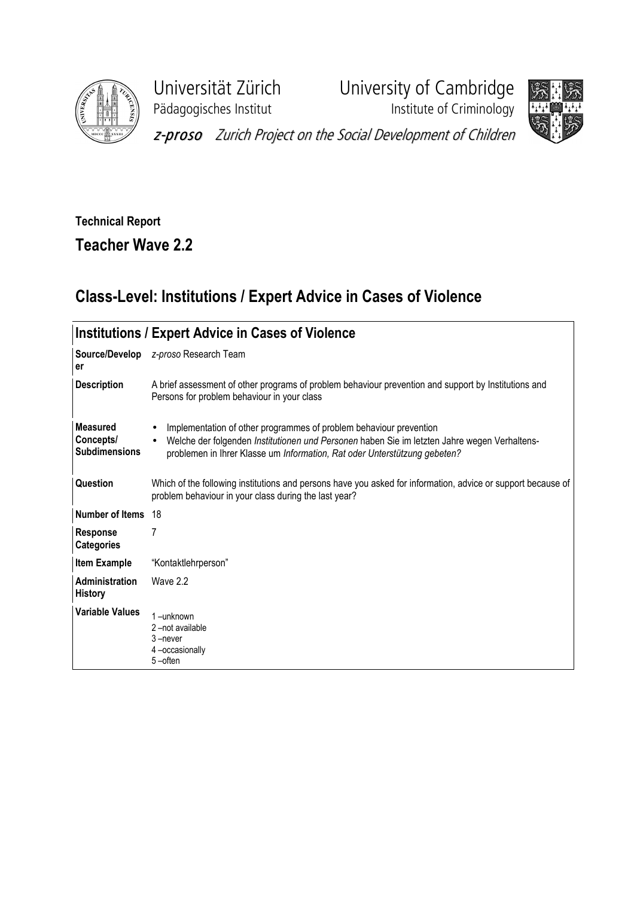

Universität Zürich<br>
Pädagogisches Institut<br>
Institute of Criminology **Paragonisches Institute of Criminology** 



z-proso Zurich Project on the Social Development of Children

## Technical Report

Teacher Wave 2.2

## Class-Level: Institutions / Expert Advice in Cases of Violence

| <b>Institutions / Expert Advice in Cases of Violence</b> |                                                                                                                                                                                                                                                 |  |  |  |  |
|----------------------------------------------------------|-------------------------------------------------------------------------------------------------------------------------------------------------------------------------------------------------------------------------------------------------|--|--|--|--|
| Source/Develop<br>er                                     | z-proso Research Team                                                                                                                                                                                                                           |  |  |  |  |
| <b>Description</b>                                       | A brief assessment of other programs of problem behaviour prevention and support by Institutions and<br>Persons for problem behaviour in your class                                                                                             |  |  |  |  |
| Measured<br>Concepts/<br><b>Subdimensions</b>            | Implementation of other programmes of problem behaviour prevention<br>Welche der folgenden Institutionen und Personen haben Sie im letzten Jahre wegen Verhaltens-<br>problemen in Ihrer Klasse um Information, Rat oder Unterstützung gebeten? |  |  |  |  |
| Question                                                 | Which of the following institutions and persons have you asked for information, advice or support because of<br>problem behaviour in your class during the last year?                                                                           |  |  |  |  |
| Number of Items                                          | 18                                                                                                                                                                                                                                              |  |  |  |  |
| <b>Response</b><br><b>Categories</b>                     | 7                                                                                                                                                                                                                                               |  |  |  |  |
| <b>Item Example</b>                                      | "Kontaktlehrperson"                                                                                                                                                                                                                             |  |  |  |  |
| Administration<br><b>History</b>                         | Wave 2.2                                                                                                                                                                                                                                        |  |  |  |  |
| <b>Variable Values</b>                                   | $1$ -unknown<br>2-not available<br>$3 -$ never<br>4-occasionally<br>5-often                                                                                                                                                                     |  |  |  |  |